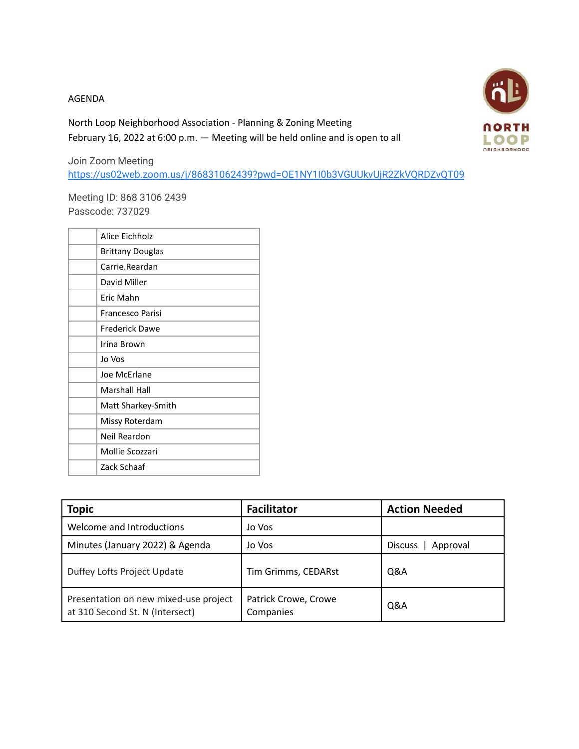## AGENDA

North Loop Neighborhood Association - Planning & Zoning Meeting February 16, 2022 at 6:00 p.m. — Meeting will be held online and is open to all



Join Zoom Meeting <https://us02web.zoom.us/j/86831062439?pwd=OE1NY1I0b3VGUUkvUjR2ZkVQRDZvQT09>

Meeting ID: 868 3106 2439 Passcode: 737029

| Alice Eichholz          |
|-------------------------|
| <b>Brittany Douglas</b> |
| Carrie.Reardan          |
| David Miller            |
| Fric Mahn               |
| Francesco Parisi        |
| Frederick Dawe          |
| Irina Brown             |
| Jo Vos                  |
| Joe McErlane            |
| Marshall Hall           |
| Matt Sharkey-Smith      |
| Missy Roterdam          |
| Neil Reardon            |
| Mollie Scozzari         |
| Zack Schaaf             |
|                         |

| <b>Topic</b>                                                             | <b>Facilitator</b>                | <b>Action Needed</b> |
|--------------------------------------------------------------------------|-----------------------------------|----------------------|
| Welcome and Introductions                                                | Jo Vos                            |                      |
| Minutes (January 2022) & Agenda                                          | Jo Vos                            | Approval<br>Discuss  |
| Duffey Lofts Project Update                                              | Tim Grimms, CEDARst               | Q&A                  |
| Presentation on new mixed-use project<br>at 310 Second St. N (Intersect) | Patrick Crowe, Crowe<br>Companies | Q&A                  |